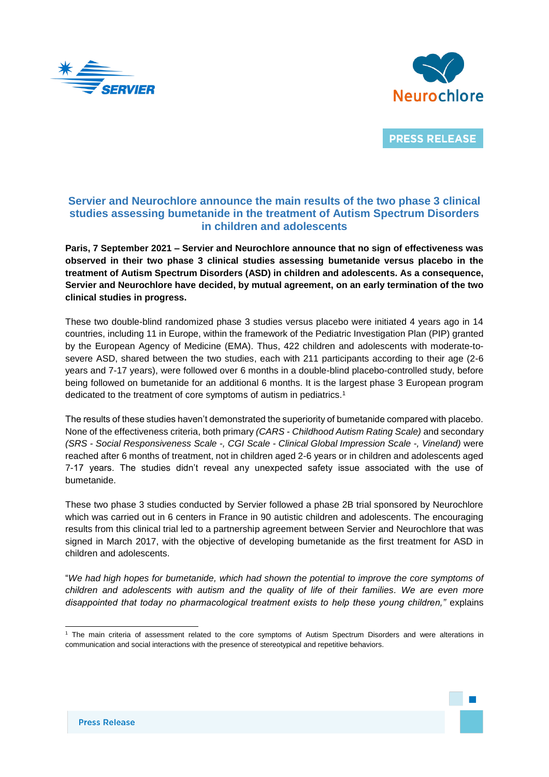



**PRESS RELEASE** 

## **Servier and Neurochlore announce the main results of the two phase 3 clinical studies assessing bumetanide in the treatment of Autism Spectrum Disorders in children and adolescents**

**Paris, 7 September 2021 – Servier and Neurochlore announce that no sign of effectiveness was observed in their two phase 3 clinical studies assessing bumetanide versus placebo in the treatment of Autism Spectrum Disorders (ASD) in children and adolescents. As a consequence, Servier and Neurochlore have decided, by mutual agreement, on an early termination of the two clinical studies in progress.** 

These two double-blind randomized phase 3 studies versus placebo were initiated 4 years ago in 14 countries, including 11 in Europe, within the framework of the Pediatric Investigation Plan (PIP) granted by the European Agency of Medicine (EMA). Thus, 422 children and adolescents with moderate-tosevere ASD, shared between the two studies, each with 211 participants according to their age (2-6 years and 7-17 years), were followed over 6 months in a double-blind placebo-controlled study, before being followed on bumetanide for an additional 6 months. It is the largest phase 3 European program dedicated to the treatment of core symptoms of autism in pediatrics.<sup>1</sup>

The results of these studies haven't demonstrated the superiority of bumetanide compared with placebo. None of the effectiveness criteria, both primary *(CARS - Childhood Autism Rating Scale)* and secondary *(SRS - Social Responsiveness Scale -, CGI Scale - Clinical Global Impression Scale -, Vineland)* were reached after 6 months of treatment, not in children aged 2-6 years or in children and adolescents aged 7-17 years. The studies didn't reveal any unexpected safety issue associated with the use of bumetanide.

These two phase 3 studies conducted by Servier followed a phase 2B trial sponsored by Neurochlore which was carried out in 6 centers in France in 90 autistic children and adolescents. The encouraging results from this clinical trial led to a partnership agreement between Servier and Neurochlore that was signed in March 2017, with the objective of developing bumetanide as the first treatment for ASD in children and adolescents.

"*We had high hopes for bumetanide, which had shown the potential to improve the core symptoms of children and adolescents with autism and the quality of life of their families. We are even more disappointed that today no pharmacological treatment exists to help these young children,"* explains

 $\overline{a}$ 

<sup>1</sup> The main criteria of assessment related to the core symptoms of Autism Spectrum Disorders and were alterations in communication and social interactions with the presence of stereotypical and repetitive behaviors.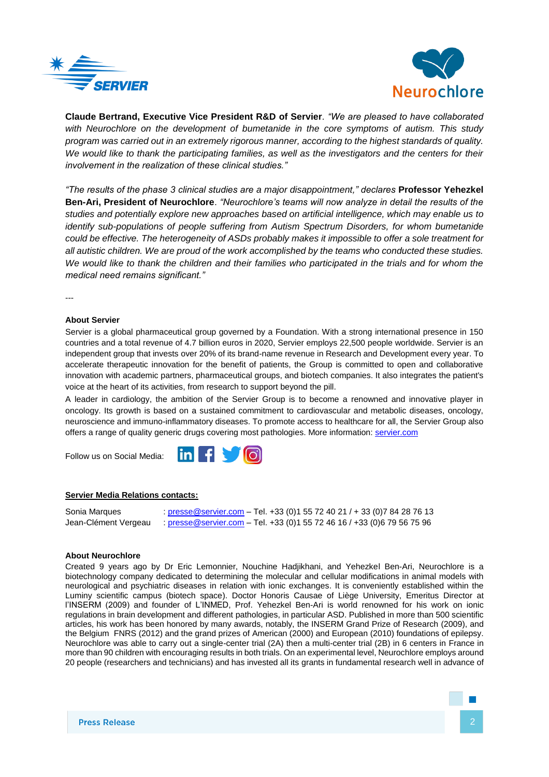



**Claude Bertrand, Executive Vice President R&D of Servier***. "We are pleased to have collaborated with Neurochlore on the development of bumetanide in the core symptoms of autism. This study program was carried out in an extremely rigorous manner, according to the highest standards of quality. We would like to thank the participating families, as well as the investigators and the centers for their involvement in the realization of these clinical studies."* 

*"The results of the phase 3 clinical studies are a major disappointment," declares* **Professor Yehezkel Ben-Ari, President of Neurochlore**. *"Neurochlore's teams will now analyze in detail the results of the studies and potentially explore new approaches based on artificial intelligence, which may enable us to identify sub-populations of people suffering from Autism Spectrum Disorders, for whom bumetanide could be effective. The heterogeneity of ASDs probably makes it impossible to offer a sole treatment for all autistic children. We are proud of the work accomplished by the teams who conducted these studies.*  We would like to thank the children and their families who participated in the trials and for whom the *medical need remains significant."* 

---

## **About Servier**

Servier is a global pharmaceutical group governed by a Foundation. With a strong international presence in 150 countries and a total revenue of 4.7 billion euros in 2020, Servier employs 22,500 people worldwide. Servier is an independent group that invests over 20% of its brand-name revenue in Research and Development every year. To accelerate therapeutic innovation for the benefit of patients, the Group is committed to open and collaborative innovation with academic partners, pharmaceutical groups, and biotech companies. It also integrates the patient's voice at the heart of its activities, from research to support beyond the pill.

A leader in cardiology, the ambition of the Servier Group is to become a renowned and innovative player in oncology. Its growth is based on a sustained commitment to cardiovascular and metabolic diseases, oncology, neuroscience and immuno-inflammatory diseases. To promote access to healthcare for all, the Servier Group also offers a range of quality generic drugs covering most pathologies. More information[: servier.com](https://servier.com/)

Follow us on Social Media:

## **Servier Media Relations contacts:**

Sonia Marques : [presse@servier.com](mailto:media@servier.com) – Tel. +33 (0)1 55 72 40 21 / + 33 (0)7 84 28 76 13 Jean-Clément Vergeau : [presse@servier.com](mailto:presse@servier.com) – Tel. +33 (0)1 55 72 46 16 / +33 (0)6 79 56 75 96

 $\blacksquare$   $\blacksquare$   $\blacksquare$   $\blacksquare$   $\blacksquare$   $\blacksquare$   $\blacksquare$   $\blacksquare$   $\blacksquare$   $\blacksquare$   $\blacksquare$   $\blacksquare$   $\blacksquare$   $\blacksquare$   $\blacksquare$   $\blacksquare$   $\blacksquare$   $\blacksquare$   $\blacksquare$   $\blacksquare$   $\blacksquare$   $\blacksquare$   $\blacksquare$   $\blacksquare$   $\blacksquare$   $\blacksquare$   $\blacksquare$   $\blacksquare$   $\blacksquare$   $\blacksquare$   $\blacksquare$   $\blacks$ 

in I

## **About Neurochlore**

Created 9 years ago by Dr Eric Lemonnier, Nouchine Hadjikhani, and Yehezkel Ben-Ari, Neurochlore is a biotechnology company dedicated to determining the molecular and cellular modifications in animal models with neurological and psychiatric diseases in relation with ionic exchanges. It is conveniently established within the Luminy scientific campus (biotech space). Doctor Honoris Causae of Liège University, Emeritus Director at l'INSERM (2009) and founder of L'INMED, Prof. Yehezkel Ben-Ari is world renowned for his work on ionic regulations in brain development and different pathologies, in particular ASD. Published in more than 500 scientific articles, his work has been honored by many awards, notably, the INSERM Grand Prize of Research (2009), and the Belgium FNRS (2012) and the grand prizes of American (2000) and European (2010) foundations of epilepsy. Neurochlore was able to carry out a single-center trial (2A) then a multi-center trial (2B) in 6 centers in France in more than 90 children with encouraging results in both trials. On an experimental level, Neurochlore employs around 20 people (researchers and technicians) and has invested all its grants in fundamental research well in advance of